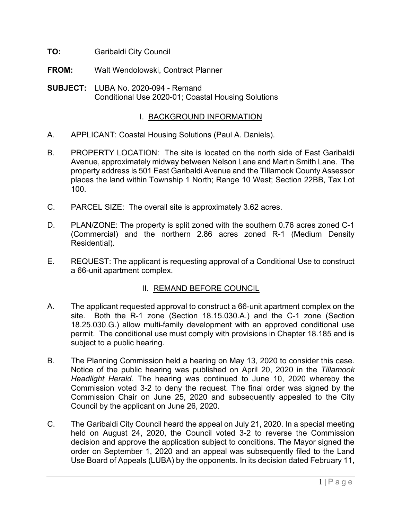- **TO:** Garibaldi City Council
- **FROM:** Walt Wendolowski, Contract Planner
- **SUBJECT:** LUBA No. 2020-094 Remand Conditional Use 2020-01; Coastal Housing Solutions

## I. BACKGROUND INFORMATION

- A. APPLICANT: Coastal Housing Solutions (Paul A. Daniels).
- B. PROPERTY LOCATION: The site is located on the north side of East Garibaldi Avenue, approximately midway between Nelson Lane and Martin Smith Lane. The property address is 501 East Garibaldi Avenue and the Tillamook County Assessor places the land within Township 1 North; Range 10 West; Section 22BB, Tax Lot 100.
- C. PARCEL SIZE: The overall site is approximately 3.62 acres.
- D. PLAN/ZONE: The property is split zoned with the southern 0.76 acres zoned C-1 (Commercial) and the northern 2.86 acres zoned R-1 (Medium Density Residential).
- E. REQUEST: The applicant is requesting approval of a Conditional Use to construct a 66-unit apartment complex.

## II. REMAND BEFORE COUNCIL

- A. The applicant requested approval to construct a 66-unit apartment complex on the site. Both the R-1 zone (Section 18.15.030.A.) and the C-1 zone (Section 18.25.030.G.) allow multi-family development with an approved conditional use permit. The conditional use must comply with provisions in Chapter 18.185 and is subject to a public hearing.
- B. The Planning Commission held a hearing on May 13, 2020 to consider this case. Notice of the public hearing was published on April 20, 2020 in the *Tillamook Headlight Herald*. The hearing was continued to June 10, 2020 whereby the Commission voted 3-2 to deny the request. The final order was signed by the Commission Chair on June 25, 2020 and subsequently appealed to the City Council by the applicant on June 26, 2020.
- C. The Garibaldi City Council heard the appeal on July 21, 2020. In a special meeting held on August 24, 2020, the Council voted 3-2 to reverse the Commission decision and approve the application subject to conditions. The Mayor signed the order on September 1, 2020 and an appeal was subsequently filed to the Land Use Board of Appeals (LUBA) by the opponents. In its decision dated February 11,